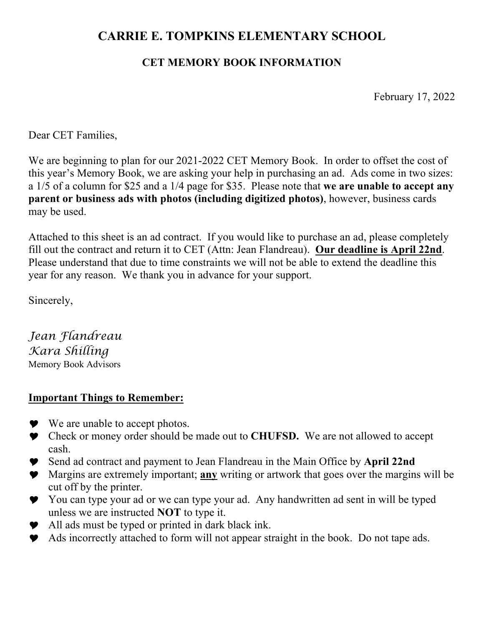## **CARRIE E. TOMPKINS ELEMENTARY SCHOOL**

## **CET MEMORY BOOK INFORMATION**

February 17, 2022

Dear CET Families,

We are beginning to plan for our 2021-2022 CET Memory Book. In order to offset the cost of this year's Memory Book, we are asking your help in purchasing an ad. Ads come in two sizes: a 1/5 of a column for \$25 and a 1/4 page for \$35. Please note that **we are unable to accept any parent or business ads with photos (including digitized photos)**, however, business cards may be used.

Attached to this sheet is an ad contract. If you would like to purchase an ad, please completely fill out the contract and return it to CET (Attn: Jean Flandreau). **Our deadline is April 22nd**. Please understand that due to time constraints we will not be able to extend the deadline this year for any reason. We thank you in advance for your support.

Sincerely,

*Jean Flandreau Kara Shilling* Memory Book Advisors

## **Important Things to Remember:**

- $\blacktriangleright$  We are unable to accept photos.
- Y Check or money order should be made out to **CHUFSD.** We are not allowed to accept cash.
- Y Send ad contract and payment to Jean Flandreau in the Main Office by **April 22nd**
- Y Margins are extremely important; **any** writing or artwork that goes over the margins will be cut off by the printer.
- You can type your ad or we can type your ad. Any handwritten ad sent in will be typed unless we are instructed **NOT** to type it.
- $\bullet$  All ads must be typed or printed in dark black ink.
- Y Ads incorrectly attached to form will not appear straight in the book. Do not tape ads.